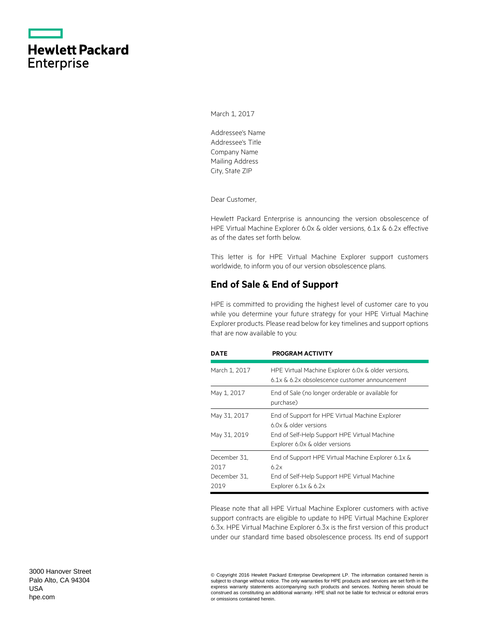|                   | <b>Hewlett Packard</b> |
|-------------------|------------------------|
| <b>Enterprise</b> |                        |

March 1, 2017

Addressee's Name Addressee's Title Company Name Mailing Address City, State ZIP

Dear Customer,

Hewlett Packard Enterprise is announcing the version obsolescence of HPE Virtual Machine Explorer 6.0x & older versions, 6.1x & 6.2x effective as of the dates set forth below.

This letter is for HPE Virtual Machine Explorer support customers worldwide, to inform you of our version obsolescence plans.

### **End of Sale & End of Support**

HPE is committed to providing the highest level of customer care to you while you determine your future strategy for your HPE Virtual Machine Explorer products. Please read below for key timelines and support options that are now available to you:

| <b>DATE</b>                                  | <b>PROGRAM ACTIVITY</b>                                                                                                                                                  |
|----------------------------------------------|--------------------------------------------------------------------------------------------------------------------------------------------------------------------------|
| March 1, 2017                                | HPE Virtual Machine Explorer 6.0x & older versions,<br>6.1x & 6.2x obsolescence customer announcement                                                                    |
| May 1, 2017                                  | End of Sale (no longer orderable or available for<br>purchase)                                                                                                           |
| May 31, 2017<br>May 31, 2019                 | End of Support for HPE Virtual Machine Explorer<br>6.0x & older versions<br>End of Self-Help Support HPE Virtual Machine                                                 |
| December 31.<br>2017<br>December 31.<br>2019 | Explorer 6.0x & older versions<br>End of Support HPE Virtual Machine Explorer 6.1x &<br>6 7 x<br>End of Self-Help Support HPE Virtual Machine<br>Explorer $6.1x \& 6.2x$ |

Please note that all HPE Virtual Machine Explorer customers with active support contracts are eligible to update to HPE Virtual Machine Explorer 6.3x. HPE Virtual Machine Explorer 6.3x is the first version of this product under our standard time based obsolescence process. Its end of support

© Copyright 2016 Hewlett Packard Enterprise Development LP. The information contained herein is subject to change without notice. The only warranties for HPE products and services are set forth in the express warranty statements accompanying such products and services. Nothing herein should be construed as constituting an additional warranty. HPE shall not be liable for technical or editorial errors or omissions contained herein.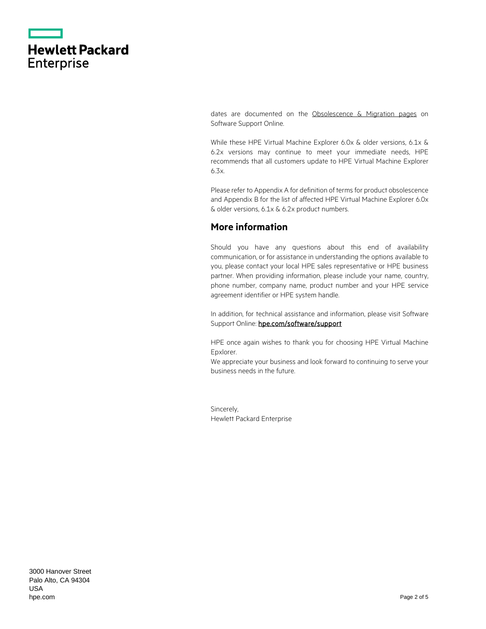|                   | <b>Hewlett Packard</b> |
|-------------------|------------------------|
| <b>Enterprise</b> |                        |

dates are documented on the [Obsolescence & Migration pages](https://softwaresupport.hpe.com/web/softwaresupport/obsolescence-migrations#tab5) on Software Support Online.

While these HPE Virtual Machine Explorer 6.0x & older versions, 6.1x & 6.2x versions may continue to meet your immediate needs, HPE recommends that all customers update to HPE Virtual Machine Explorer 6.3x.

Please refer to Appendix A for definition of terms for product obsolescence and Appendix B for the list of affected HPE Virtual Machine Explorer 6.0x & older versions, 6.1x & 6.2x product numbers.

### **More information**

Should you have any questions about this end of availability communication, or for assistance in understanding the options available to you, please contact your local HPE sales representative or HPE business partner. When providing information, please include your name, country, phone number, company name, product number and your HPE service agreement identifier or HPE system handle.

In addition, for technical assistance and information, please visit Software Support Online: hpe.com/software/support

HPE once again wishes to thank you for choosing HPE Virtual Machine Epxlorer.

We appreciate your business and look forward to continuing to serve your business needs in the future.

Sincerely, Hewlett Packard Enterprise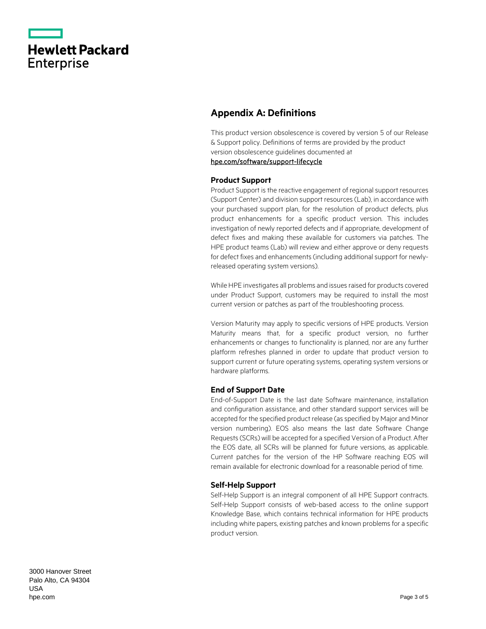|                   | <b>Hewlett Packard</b> |
|-------------------|------------------------|
| <b>Enterprise</b> |                        |

## **Appendix A: Definitions**

This product version obsolescence is covered by version 5 of our Release & Support policy. Definitions of terms are provided by the product version obsolescence guidelines documented at [hpe.com/software/support-lifecycle](https://www.hpe.com/software/support-lifecycle)

#### **Product Support**

Product Support is the reactive engagement of regional support resources (Support Center) and division support resources (Lab), in accordance with your purchased support plan, for the resolution of product defects, plus product enhancements for a specific product version. This includes investigation of newly reported defects and if appropriate, development of defect fixes and making these available for customers via patches. The HPE product teams (Lab) will review and either approve or deny requests for defect fixes and enhancements (including additional support for newlyreleased operating system versions).

While HPE investigates all problems and issues raised for products covered under Product Support, customers may be required to install the most current version or patches as part of the troubleshooting process.

Version Maturity may apply to specific versions of HPE products. Version Maturity means that, for a specific product version, no further enhancements or changes to functionality is planned, nor are any further platform refreshes planned in order to update that product version to support current or future operating systems, operating system versions or hardware platforms.

#### **End of Support Date**

End-of-Support Date is the last date Software maintenance, installation and configuration assistance, and other standard support services will be accepted for the specified product release (as specified by Major and Minor version numbering). EOS also means the last date Software Change Requests (SCRs) will be accepted for a specified Version of a Product. After the EOS date, all SCRs will be planned for future versions, as applicable. Current patches for the version of the HP Software reaching EOS will remain available for electronic download for a reasonable period of time.

#### **Self-Help Support**

Self-Help Support is an integral component of all HPE Support contracts. Self-Help Support consists of web-based access to the online support Knowledge Base, which contains technical information for HPE products including white papers, existing patches and known problems for a specific product version.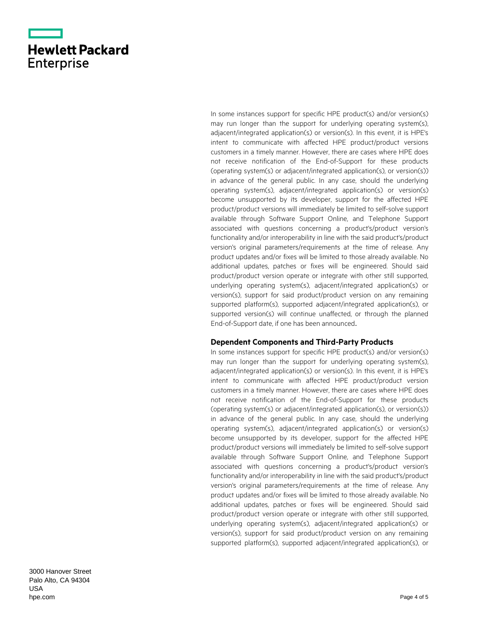|                   | <b>Hewlett Packard</b> |
|-------------------|------------------------|
| <b>Enterprise</b> |                        |

In some instances support for specific HPE product(s) and/or version(s) may run longer than the support for underlying operating system(s), adjacent/integrated application(s) or version(s). In this event, it is HP E's intent to communicate with affected HPE product/product versions customers in a timely manner. However, there are cases where HPE does not receive notification of the End -of -Support for these products (operating system(s) or adjacent/integrated application(s), or version(s)) in advance of the general public. In any case, should the underlying operating system(s), adjacent/integrated application(s) or version(s) become unsupported by its developer, support for the affected HPE product/product versions will immediately be limited to self -solve support available through Software Support Online, and Telephone Support associated with questions concerning a product's/product version's functionality and/or interoperability in line with the said product's/product version's original parameters/requirements at the time of release. Any product updates and/or fixes will be limited to those already available. No additional updates, patches or fixes will be engineered. Should said product/product version operate or integrate with other still supported, underlying operating system(s), adjacent/integrated application(s) or version(s), support for said product/product version on any remaining supported platform(s), supported adjacent/integrated application(s), or supported version(s) will continue unaffected, or through the planned End -of -Support date, if one has been announced .

#### **Dependent Components and Third-Party Products**

In some instances support for specific HP E product(s) and/or version(s) may run longer than the support for underlying operating system(s), adjacent/integrated application(s) or version(s). In this event, it is HP E's intent to communicate with affected HP E product/product version customers in a timely manner. However, there are cases where HP E does not receive notification of the End -of -Support for these products (operating system(s) or adjacent/integrated application(s), or version(s)) in advance of the general public. In any case, should the underlying operating system(s), adjacent/integrated application(s) or version(s) become unsupported by its developer, support for the affected HP E product/product versions will immediately be limited to self -solve support available through Software Support Online, and Telephone Support associated with questions concerning a product's/product version's functionality and/or interoperability in line with the said product's/product version's original parameters/requirements at the time of release. Any product updates and/or fixes will be limited to those already available. No additional updates, patches or fixes will be engineered. Should said product/product version operate or integrate with other still supported, underlying operating system(s), adjacent/integrated application(s) or version(s), support for said product/product version on any remaining supported platform(s), supported adjacent/integrated application(s), or